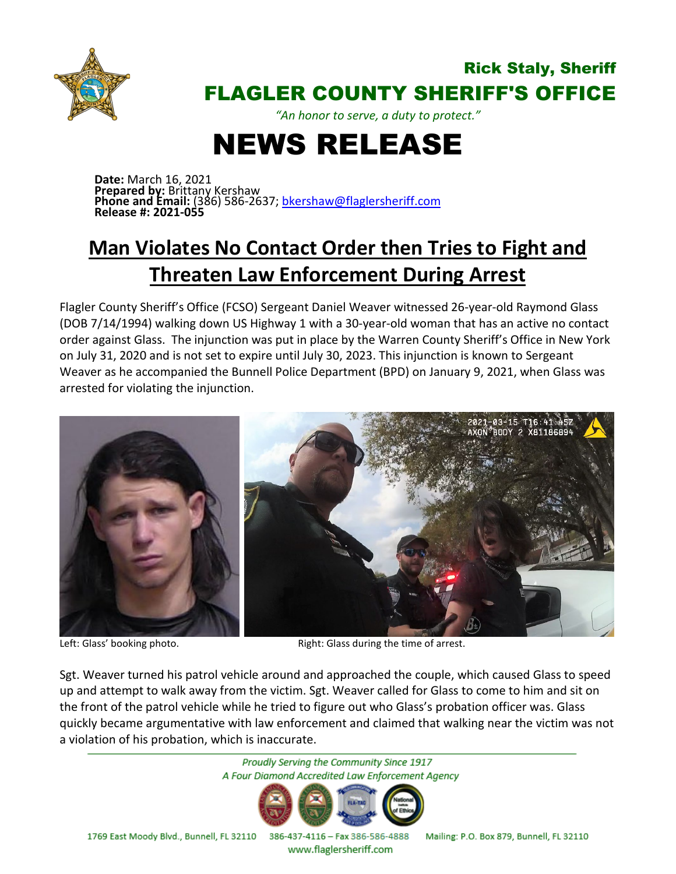

## Rick Staly, Sheriff FLAGLER COUNTY SHERIFF'S OFFICE

*"An honor to serve, a duty to protect."*

## NEWS RELEASE

**Date:** March 16, 2021 **Prepared by:** Brittany Kershaw **Phone and Email:** (386) 586-2637; [bkershaw@flaglersheriff.com](mailto:bkershaw@flaglersheriff.com) **Release #: 2021-055**

## **Man Violates No Contact Order then Tries to Fight and Threaten Law Enforcement During Arrest**

Flagler County Sheriff's Office (FCSO) Sergeant Daniel Weaver witnessed 26-year-old Raymond Glass (DOB 7/14/1994) walking down US Highway 1 with a 30-year-old woman that has an active no contact order against Glass. The injunction was put in place by the Warren County Sheriff's Office in New York on July 31, 2020 and is not set to expire until July 30, 2023. This injunction is known to Sergeant Weaver as he accompanied the Bunnell Police Department (BPD) on January 9, 2021, when Glass was arrested for violating the injunction.



Left: Glass' booking photo. The same of arrest. Right: Glass during the time of arrest.

Sgt. Weaver turned his patrol vehicle around and approached the couple, which caused Glass to speed up and attempt to walk away from the victim. Sgt. Weaver called for Glass to come to him and sit on the front of the patrol vehicle while he tried to figure out who Glass's probation officer was. Glass quickly became argumentative with law enforcement and claimed that walking near the victim was not a violation of his probation, which is inaccurate.



1769 East Moody Blvd., Bunnell, FL 32110 386-437-4116 - Fax 386-586-4888

Mailing: P.O. Box 879, Bunnell, FL 32110

www.flaglersheriff.com